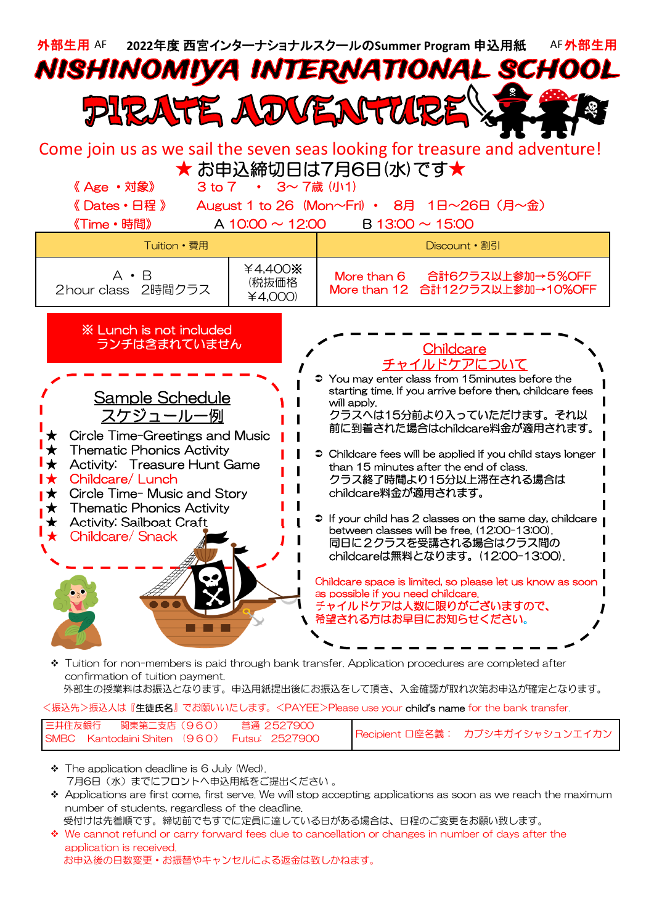

confirmation of tuition payment.

外部生の授業料はお振込となります。申込用紙提出後にお振込をして頂き、入金確認が取れ次第お申込が確定となります。

<振込先>振込人は『生徒氏名』でお願いいたします。<PAYEE>Please use your child**'**s name for the bank transfer.

| 三井住友銀行   関東第二支店(960) | 普通 2527900                                  |                                 |
|----------------------|---------------------------------------------|---------------------------------|
|                      | SMBC Kantodaini Shiten (960) Futsu: 2527900 | Recipient ロ座名義: カブシキガイシャシュンエイカン |

- \* The application deadline is 6 July (Wed). 7月6日 (水) までにフロントへ申込用紙をご提出ください 。
- $\bullet$  Applications are first come, first serve. We will stop accepting applications as soon as we reach the maximum number of students, regardless of the deadline.
	- 受付けは先着順です。締切前でもすでに定員に達している日がある場合は、日程のご変更をお願い致します。
- We cannot refund or carry forward fees due to cancellation or changes in number of days after the application is received. お申込後の日数変更・お振替やキャンセルによる返金は致しかねます。